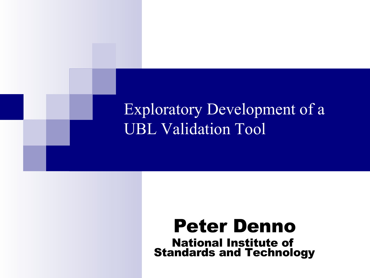#### Exploratory Development of a UBL Validation Tool

#### Peter Denno National Institute of Standards and Technology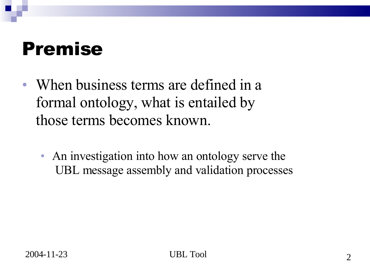#### Premise

- When business terms are defined in a formal ontology, what is entailed by those terms becomes known.
	- An investigation into how an ontology serve the UBL message assembly and validation processes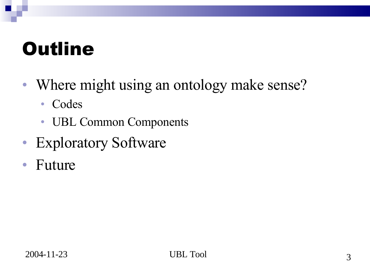### **Outline**

- Where might using an ontology make sense?
	- Codes
	- UBL Common Components
- Exploratory Software
- Future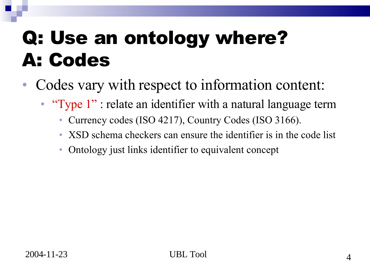# Q: Use an ontology where? A: Codes

- Codes vary with respect to information content:
	- "Type 1" : relate an identifier with a natural language term
		- Currency codes (ISO 4217), Country Codes (ISO 3166).
		- XSD schema checkers can ensure the identifier is in the code list
		- Ontology just links identifier to equivalent concept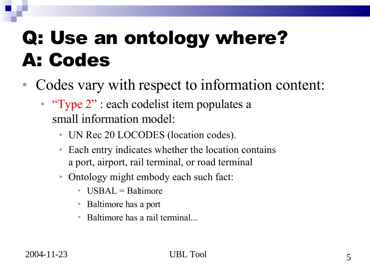# Q: Use an ontology where? A: Codes

- Codes vary with respect to information content:
	- "Type 2" : each codelist item populates a small information model:
		- UN Rec 20 LOCODES (location codes).
		- Each entry indicates whether the location contains a port, airport, rail terminal, or road terminal
		- Ontology might embody each such fact:
			- USBAL  $=$  Baltimore
			- Baltimore has a port
			- Baltimore has a rail terminal...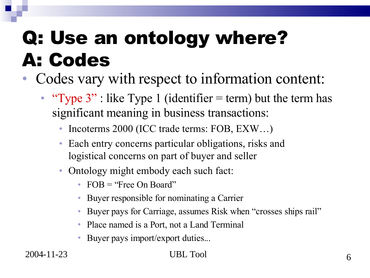# Q: Use an ontology where? A: Codes

- Codes vary with respect to information content:
	- "Type  $3$ ": like Type 1 (identifier = term) but the term has significant meaning in business transactions:
		- Incoterms 2000 (ICC trade terms: FOB, EXW...)
		- Each entry concerns particular obligations, risks and logistical concerns on part of buyer and seller
		- Ontology might embody each such fact:
			- FOB = "Free On Board"
			- Buyer responsible for nominating a Carrier
			- Buyer pays for Carriage, assumes Risk when "crosses ships rail"
			- Place named is a Port, not a Land Terminal
			- Buyer pays import/export duties...

#### UBL Tool 6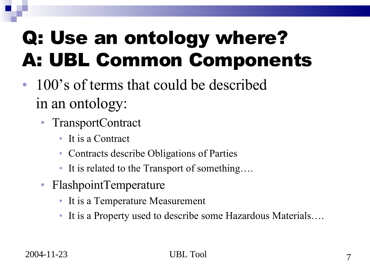# Q: Use an ontology where? A: UBL Common Components

- 100's of terms that could be described in an ontology:
	- TransportContract
		- It is a Contract
		- Contracts describe Obligations of Parties
		- It is related to the Transport of something....
	- FlashpointTemperature
		- It is a Temperature Measurement
		- It is a Property used to describe some Hazardous Materials....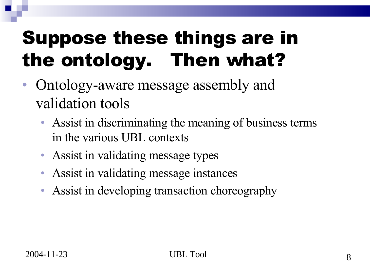# Suppose these things are in the ontology. Then what?

- Ontology-aware message assembly and validation tools
	- Assist in discriminating the meaning of business terms in the various UBL contexts
	- Assist in validating message types
	- Assist in validating message instances
	- Assist in developing transaction choreography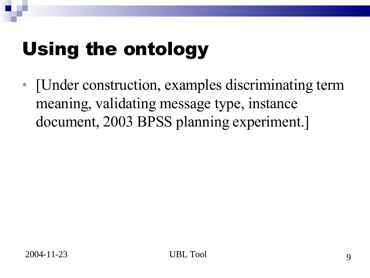# Using the ontology

• [Under construction, examples discriminating term meaning, validating message type, instance document, 2003 BPSS planning experiment.]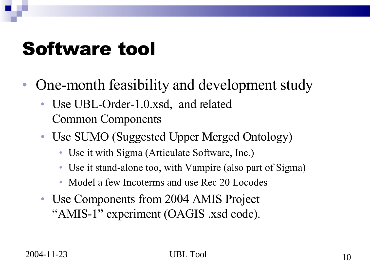#### Software tool

- One-month feasibility and development study
	- Use UBL-Order-1.0.xsd, and related Common Components
	- Use SUMO (Suggested Upper Merged Ontology)
		- Use it with Sigma (Articulate Software, Inc.)
		- Use it stand-alone too, with Vampire (also part of Sigma)
		- Model a few Incoterms and use Rec 20 Locodes
	- Use Components from 2004 AMIS Project "AMIS-1" experiment (OAGIS .xsd code).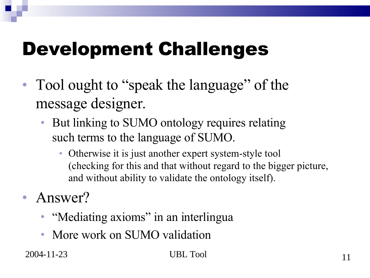- Tool ought to "speak the language" of the message designer.
	- But linking to SUMO ontology requires relating such terms to the language of SUMO.
		- Otherwise it is just another expert system-style tool (checking for this and that without regard to the bigger picture, and without ability to validate the ontology itself).
- Answer?
	- "Mediating axioms" in an interlingua
	- More work on SUMO validation

 $2004 - 11 - 23$ 

#### UBL Tool and the state of the state of the state of the state of the state of the state of the state of the state of the state of the state of the state of the state of the state of the state of the state of the state of t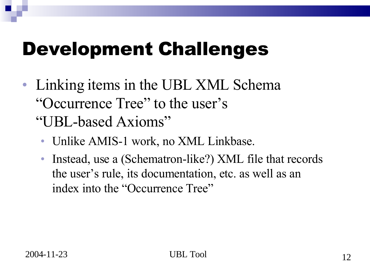- Linking items in the UBL XML Schema "Occurrence Tree" to the user's "UBL-based Axioms"
	- Unlike AMIS-1 work, no XML Linkbase.
	- Instead, use a (Schematron-like?) XML file that records the user's rule, its documentation, etc. as well as an index into the "Occurrence Tree"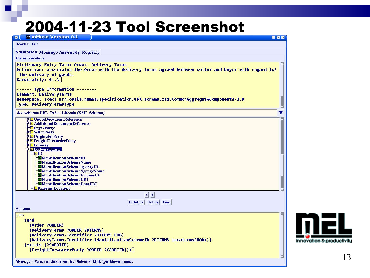#### 2004-11-23 Tool Screenshot

| <b>M</b> mMuse Version 0.1<br>$\bullet$<br>ENX                                                                                                                                                                       |
|----------------------------------------------------------------------------------------------------------------------------------------------------------------------------------------------------------------------|
| Works File                                                                                                                                                                                                           |
| <b>Validation Message Assembly Registry</b>                                                                                                                                                                          |
| <b>Documentation:</b>                                                                                                                                                                                                |
| Dictionary Entry Term: Order. Delivery Terms<br>Definition: associates the Order with the delivery terms agreed between seller and buyer with regard to!<br>the delivery of goods.<br>Cardinality: $\theta \ldots 1$ |
| ------ Type Information --------                                                                                                                                                                                     |
| <b>Element: DeliveryTerms</b><br>Namespace: (cac) urn:oasis:names:specification:ubl:schema:xsd:CommonAggregateComponents-1.0                                                                                         |
| Type: DeliveryTermsType                                                                                                                                                                                              |
|                                                                                                                                                                                                                      |
| doc-schema/UBL-Order-1.0.xsdo (XML Schema)                                                                                                                                                                           |
| <b>E QuoteDocument Reference</b><br>中 <b>E</b> Additional Document Reference                                                                                                                                         |
| <sup>#</sup> E Buyer Party                                                                                                                                                                                           |
| <sup>+</sup> E Seller Party                                                                                                                                                                                          |
| <sup>+</sup> EOriginatorParty<br><sup>+</sup> EFreightForwarderParty                                                                                                                                                 |
| 中 <b>E</b> Delivery                                                                                                                                                                                                  |
| <b>DeliveryTerms</b>                                                                                                                                                                                                 |
| 中EID<br><b>Aidentification SchemeID</b>                                                                                                                                                                              |
| <b>Midentification SchemeName</b>                                                                                                                                                                                    |
| didentificationSchemeAgencyID                                                                                                                                                                                        |
| <b>Nidentification Scheme Agency Name</b><br>didentification Scheme Version ID                                                                                                                                       |
| <b>Aidentification SchemeURI</b>                                                                                                                                                                                     |
| <b>Nidentification SchemeDataURI</b>                                                                                                                                                                                 |
| 中 <b>E</b> Relevant Location                                                                                                                                                                                         |
| $\leq$ ><br>Validate Delete Find                                                                                                                                                                                     |
| <b>Axioms:</b>                                                                                                                                                                                                       |
| $($ = $>$                                                                                                                                                                                                            |
| (and<br>(Order ?ORDER)                                                                                                                                                                                               |
| (DeliveryTerms ?ORDER ?DTERMS)                                                                                                                                                                                       |
| (DeliveryTerms.Identifier ?DTERMS FOB)                                                                                                                                                                               |
| (DeliveryTerms.Identifier-identificationSchemeID ?DTERMS incoterms2000)))                                                                                                                                            |
| (exists (?CARRIER)                                                                                                                                                                                                   |
| (FreightForwarderParty ?ORDER ?CARRIER)))                                                                                                                                                                            |
| Message: Select a Link from the `Selected Link` pulldown menu.                                                                                                                                                       |
|                                                                                                                                                                                                                      |

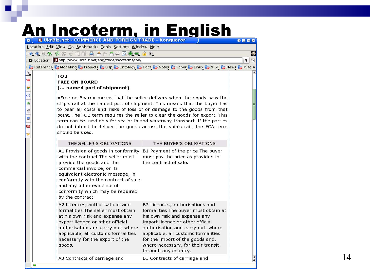#### An Incoterm, in English

Location Edit View Go Bookmarks Tools Settings Window Help

#### 企业办价 多米 十二二十 台 古 古 古 口 电 二 一 0

**E** Location: U http://www.ukrbiz.net/eng/trade/incoterms/fob/

**B** Reference **B** Modeling **B** Projects **B** Lisp **B** Ontology **B** Docs **B** Notes **B** Paper **B** Linux **B** NIST **B** News **B** Misc »

**O B D B** 

 $\mathbf{u}$ 

 $\overline{\bullet}$   $\overline{\uparrow}$ 

#### **FOB FREE ON BOARD** (... named port of shipment)

«Free on Board» means that the seller delivers when the goods pass the ship's rail at the named port of shipment. This means that the buyer has to bear all costs and risks of loss of or damage to the goods from that point. The FOB term requires the seller to clear the goods for export. This term can be used only for sea or inland waterway transport. If the parties do not intend to deliver the goods across the ship's rail, the FCA term should be used.

| THE SELLER'S OBLIGATIONS                                                                                                                                                                                                                                                                              | THE BUYER'S OBLIGATIONS                                                                                                                                                                                                                                                                                                    |
|-------------------------------------------------------------------------------------------------------------------------------------------------------------------------------------------------------------------------------------------------------------------------------------------------------|----------------------------------------------------------------------------------------------------------------------------------------------------------------------------------------------------------------------------------------------------------------------------------------------------------------------------|
| A1 Provision of goods in conformity<br>with the contract The seller must<br>provide the goods and the<br>commercial invoice, or its<br>equivalent electronic message, in<br>conformity with the contract of sale<br>and any other evidence of<br>conformity which may be required<br>by the contract. | B1 Payment of the price The buyer<br>must pay the price as provided in<br>the contract of sale.                                                                                                                                                                                                                            |
| A2 Licences, authorisations and<br>formalities The seller must obtain<br>at his own risk and expense any<br>export licence or other official<br>authorisation and carry out, where<br>applicable, all customs formalities<br>necessary for the export of the<br>goods.                                | B2 Licences, authorisations and<br>formalities The buyer must obtain at<br>his own risk and expense any<br>import licence or other official<br>authorisation and carry out, where<br>applicable, all customs formalities<br>for the import of the goods and,<br>where necessary, for their transit<br>through any country. |
| A3 Contracts of carriage and                                                                                                                                                                                                                                                                          | B3 Contracts of carriage and                                                                                                                                                                                                                                                                                               |

 $\ddot{\phantom{0}}$ 

Ÿ

 $\odot$ 

倫

ń

U

Ò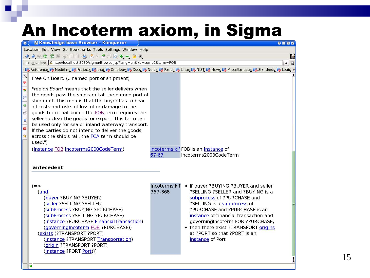#### An Incoterm axiom, in Sigma

|                                                                                                                | <b>o N</b> Knowledge base Browser - Konqueror                                                                                                                                                                                                                                                                                                                                                                                                                                                                                                                                       |                          |                                                                                                                                                                                                                                                                                                                                                    | $Q$ <b>ENE</b>          |
|----------------------------------------------------------------------------------------------------------------|-------------------------------------------------------------------------------------------------------------------------------------------------------------------------------------------------------------------------------------------------------------------------------------------------------------------------------------------------------------------------------------------------------------------------------------------------------------------------------------------------------------------------------------------------------------------------------------|--------------------------|----------------------------------------------------------------------------------------------------------------------------------------------------------------------------------------------------------------------------------------------------------------------------------------------------------------------------------------------------|-------------------------|
|                                                                                                                | Location Edit View Go Bookmarks Tools Settings Window Help                                                                                                                                                                                                                                                                                                                                                                                                                                                                                                                          |                          |                                                                                                                                                                                                                                                                                                                                                    |                         |
|                                                                                                                | 4.444 \$ % * 11 4 5 5 6 5 0 0 0 0 1 0                                                                                                                                                                                                                                                                                                                                                                                                                                                                                                                                               |                          |                                                                                                                                                                                                                                                                                                                                                    | $\overline{\mathbf{w}}$ |
|                                                                                                                | <b>B</b> Location: 1 ttp://localhost:8080/sigma/Browse.jsp?lang=en&kb=sumo2&term=FOB                                                                                                                                                                                                                                                                                                                                                                                                                                                                                                |                          |                                                                                                                                                                                                                                                                                                                                                    | ▼ 回                     |
|                                                                                                                | Reference C Modeling C Projects C Lisp C Ontology C Docs C Notes C Paper C Linux C NIST C News C Miscellaneous C Standards C Logic »                                                                                                                                                                                                                                                                                                                                                                                                                                                |                          |                                                                                                                                                                                                                                                                                                                                                    |                         |
| $\frac{1}{\sqrt{2}}$<br>$\ddot{\text{ } }$<br>$\overline{\circ}$<br>一命<br>$\overline{a}$<br>e<br>$\frac{1}{2}$ | Free On Board (named port of shipment)<br>Free on Board means that the seller delivers when<br>the goods pass the ship's rail at the named port of<br>shipment. This means that the buyer has to bear<br>all costs and risks of loss of or damage to the<br>goods from that point. The FOB term requires the<br>seller to clear the goods for export. This term can<br>be used only for sea or inland waterway transport.<br>If the parties do not intend to deliver the goods<br>across the ship's rail, the FCA term should be<br>used.")<br>(instance FOB incoterms2000CodeTerm) |                          | incoterms.kif FOB is an instance of                                                                                                                                                                                                                                                                                                                |                         |
|                                                                                                                |                                                                                                                                                                                                                                                                                                                                                                                                                                                                                                                                                                                     | 67-67                    | incoterms2000CodeTerm                                                                                                                                                                                                                                                                                                                              |                         |
|                                                                                                                |                                                                                                                                                                                                                                                                                                                                                                                                                                                                                                                                                                                     |                          |                                                                                                                                                                                                                                                                                                                                                    |                         |
|                                                                                                                | antecedent                                                                                                                                                                                                                                                                                                                                                                                                                                                                                                                                                                          |                          |                                                                                                                                                                                                                                                                                                                                                    |                         |
|                                                                                                                |                                                                                                                                                                                                                                                                                                                                                                                                                                                                                                                                                                                     |                          |                                                                                                                                                                                                                                                                                                                                                    |                         |
|                                                                                                                | $(=>$<br>(and<br>(buyer ?BUYING ?BUYER)<br>(seller ?SELLING ?SELLER)<br>(subProcess ?BUYING ?PURCHASE)<br>(subProcess ?SELLING ?PURCHASE)<br>(instance ?PURCHASE FinancialTransaction)<br>(governingIncoterm FOB ?PURCHASE))<br>(exists (?TRANSPORT ?PORT)<br>(instance ?TRANSPORT Transportation)<br>(origin ?TRANSPORT ?PORT)<br>(instance ?PORT Port)))                                                                                                                                                                                                                          | incoterms.kif<br>357-368 | • if buyer ?BUYING ?BUYER and seller<br>?SELLING ?SELLER and ?BUYING is a<br>subprocess of ?PURCHASE and<br>?SELLING is a subprocess of<br>?PURCHASE and ?PURCHASE is an<br>instance of financial transaction and<br>governingIncoterm FOB ?PURCHASE,<br>• then there exist ?TRANSPORT origins<br>at ?PORT so that ?PORT is an<br>instance of Port |                         |
|                                                                                                                |                                                                                                                                                                                                                                                                                                                                                                                                                                                                                                                                                                                     |                          |                                                                                                                                                                                                                                                                                                                                                    |                         |

i io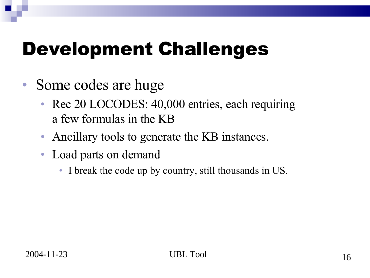- Some codes are huge
	- Rec 20 LOCODES: 40,000 entries, each requiring a few formulas in the KB
	- Ancillary tools to generate the KB instances.
	- Load parts on demand
		- I break the code up by country, still thousands in US.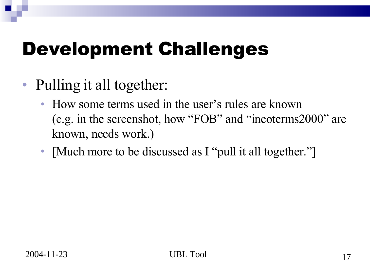- Pulling it all together:
	- How some terms used in the user's rules are known (e.g. in the screenshot, how "FOB" and "incoterms2000" are known, needs work.)
	- [Much more to be discussed as I "pull it all together."]